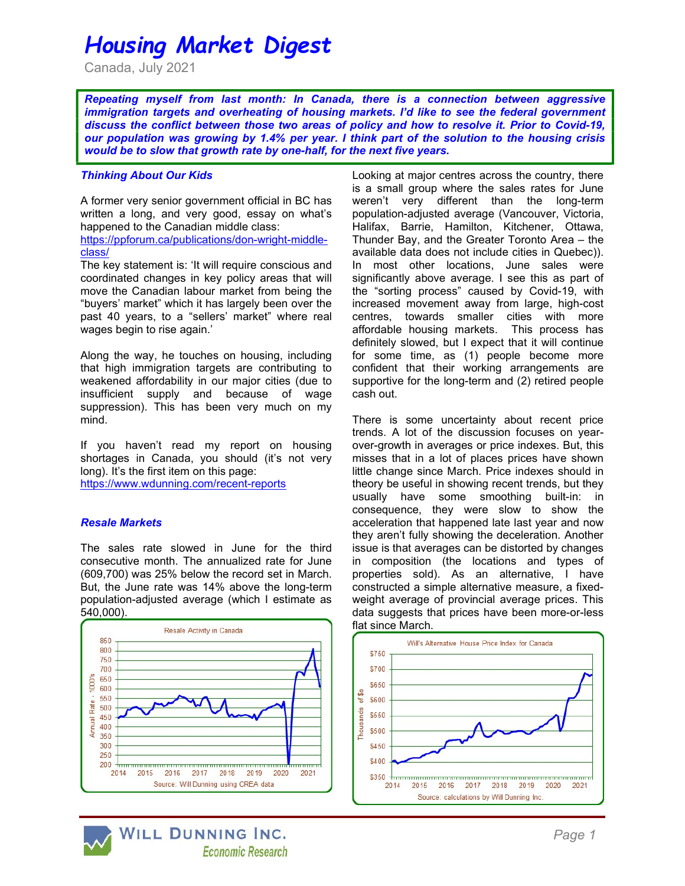# Housing Market Digest

Canada, July 2021

Repeating myself from last month: In Canada, there is a connection between aggressive immigration targets and overheating of housing markets. I'd like to see the federal government discuss the conflict between those two areas of policy and how to resolve it. Prior to Covid-19, our population was growing by 1.4% per year. I think part of the solution to the housing crisis would be to slow that growth rate by one-half, for the next five years.

## Thinking About Our Kids

A former very senior government official in BC has written a long, and very good, essay on what's happened to the Canadian middle class:

https://ppforum.ca/publications/don-wright-middleclass/

The key statement is: 'It will require conscious and coordinated changes in key policy areas that will move the Canadian labour market from being the "buyers' market" which it has largely been over the past 40 years, to a "sellers' market" where real wages begin to rise again.'

Along the way, he touches on housing, including that high immigration targets are contributing to weakened affordability in our major cities (due to insufficient supply and because of wage suppression). This has been very much on my mind.

If you haven't read my report on housing shortages in Canada, you should (it's not very long). It's the first item on this page: https://www.wdunning.com/recent-reports

### Resale Markets

The sales rate slowed in June for the third consecutive month. The annualized rate for June (609,700) was 25% below the record set in March. But, the June rate was 14% above the long-term population-adjusted average (which I estimate as 540,000).



WILL DUNNING INC. **Economic Research**  Looking at major centres across the country, there is a small group where the sales rates for June weren't very different than the long-term population-adjusted average (Vancouver, Victoria, Halifax, Barrie, Hamilton, Kitchener, Ottawa, Thunder Bay, and the Greater Toronto Area – the available data does not include cities in Quebec)). In most other locations, June sales were significantly above average. I see this as part of the "sorting process" caused by Covid-19, with increased movement away from large, high-cost centres, towards smaller cities with more affordable housing markets. This process has definitely slowed, but I expect that it will continue for some time, as (1) people become more confident that their working arrangements are supportive for the long-term and (2) retired people cash out.

There is some uncertainty about recent price trends. A lot of the discussion focuses on yearover-growth in averages or price indexes. But, this misses that in a lot of places prices have shown little change since March. Price indexes should in theory be useful in showing recent trends, but they usually have some smoothing built-in: in consequence, they were slow to show the acceleration that happened late last year and now they aren't fully showing the deceleration. Another issue is that averages can be distorted by changes in composition (the locations and types of properties sold). As an alternative, I have constructed a simple alternative measure, a fixedweight average of provincial average prices. This data suggests that prices have been more-or-less flat since March.